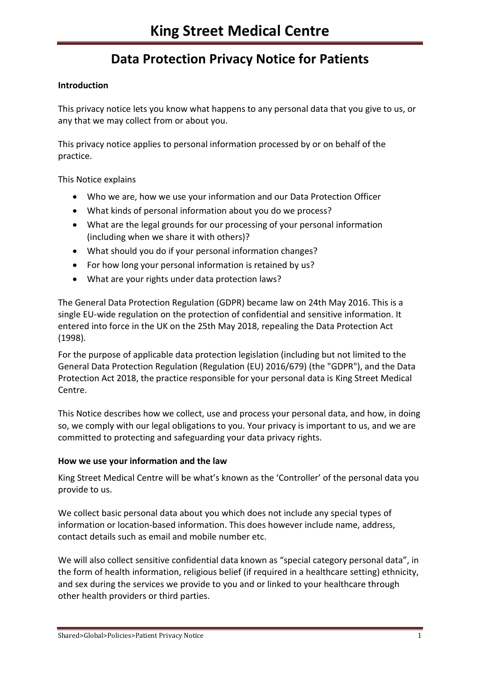## **Introduction**

This privacy notice lets you know what happens to any personal data that you give to us, or any that we may collect from or about you.

This privacy notice applies to personal information processed by or on behalf of the practice.

This Notice explains

- Who we are, how we use your information and our Data Protection Officer
- What kinds of personal information about you do we process?
- What are the legal grounds for our processing of your personal information (including when we share it with others)?
- What should you do if your personal information changes?
- For how long your personal information is retained by us?
- What are your rights under data protection laws?

The General Data Protection Regulation (GDPR) became law on 24th May 2016. This is a single EU-wide regulation on the protection of confidential and sensitive information. It entered into force in the UK on the 25th May 2018, repealing the Data Protection Act (1998).

For the purpose of applicable data protection legislation (including but not limited to the General Data Protection Regulation (Regulation (EU) 2016/679) (the "GDPR"), and the Data Protection Act 2018, the practice responsible for your personal data is King Street Medical Centre.

This Notice describes how we collect, use and process your personal data, and how, in doing so, we comply with our legal obligations to you. Your privacy is important to us, and we are committed to protecting and safeguarding your data privacy rights.

## **How we use your information and the law**

King Street Medical Centre will be what's known as the 'Controller' of the personal data you provide to us.

We collect basic personal data about you which does not include any special types of information or location-based information. This does however include name, address, contact details such as email and mobile number etc.

We will also collect sensitive confidential data known as "special category personal data", in the form of health information, religious belief (if required in a healthcare setting) ethnicity, and sex during the services we provide to you and or linked to your healthcare through other health providers or third parties.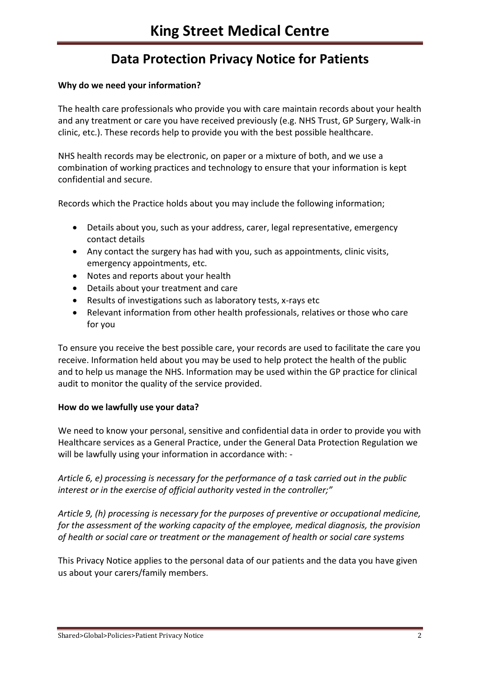## **Why do we need your information?**

The health care professionals who provide you with care maintain records about your health and any treatment or care you have received previously (e.g. NHS Trust, GP Surgery, Walk-in clinic, etc.). These records help to provide you with the best possible healthcare.

NHS health records may be electronic, on paper or a mixture of both, and we use a combination of working practices and technology to ensure that your information is kept confidential and secure.

Records which the Practice holds about you may include the following information;

- Details about you, such as your address, carer, legal representative, emergency contact details
- Any contact the surgery has had with you, such as appointments, clinic visits, emergency appointments, etc.
- Notes and reports about your health
- Details about your treatment and care
- Results of investigations such as laboratory tests, x-rays etc
- Relevant information from other health professionals, relatives or those who care for you

To ensure you receive the best possible care, your records are used to facilitate the care you receive. Information held about you may be used to help protect the health of the public and to help us manage the NHS. Information may be used within the GP practice for clinical audit to monitor the quality of the service provided.

#### **How do we lawfully use your data?**

We need to know your personal, sensitive and confidential data in order to provide you with Healthcare services as a General Practice, under the General Data Protection Regulation we will be lawfully using your information in accordance with: -

*Article 6, e) processing is necessary for the performance of a task carried out in the public interest or in the exercise of official authority vested in the controller;"* 

*Article 9, (h) processing is necessary for the purposes of preventive or occupational medicine, for the assessment of the working capacity of the employee, medical diagnosis, the provision of health or social care or treatment or the management of health or social care systems* 

This Privacy Notice applies to the personal data of our patients and the data you have given us about your carers/family members.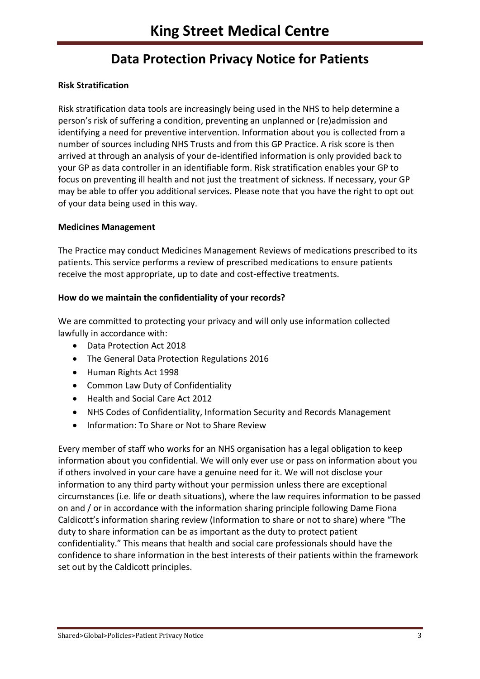## **Risk Stratification**

Risk stratification data tools are increasingly being used in the NHS to help determine a person's risk of suffering a condition, preventing an unplanned or (re)admission and identifying a need for preventive intervention. Information about you is collected from a number of sources including NHS Trusts and from this GP Practice. A risk score is then arrived at through an analysis of your de-identified information is only provided back to your GP as data controller in an identifiable form. Risk stratification enables your GP to focus on preventing ill health and not just the treatment of sickness. If necessary, your GP may be able to offer you additional services. Please note that you have the right to opt out of your data being used in this way.

#### **Medicines Management**

The Practice may conduct Medicines Management Reviews of medications prescribed to its patients. This service performs a review of prescribed medications to ensure patients receive the most appropriate, up to date and cost-effective treatments.

## **How do we maintain the confidentiality of your records?**

We are committed to protecting your privacy and will only use information collected lawfully in accordance with:

- Data Protection Act 2018
- The General Data Protection Regulations 2016
- Human Rights Act 1998
- Common Law Duty of Confidentiality
- Health and Social Care Act 2012
- NHS Codes of Confidentiality, Information Security and Records Management
- Information: To Share or Not to Share Review

Every member of staff who works for an NHS organisation has a legal obligation to keep information about you confidential. We will only ever use or pass on information about you if others involved in your care have a genuine need for it. We will not disclose your information to any third party without your permission unless there are exceptional circumstances (i.e. life or death situations), where the law requires information to be passed on and / or in accordance with the information sharing principle following Dame Fiona Caldicott's information sharing review (Information to share or not to share) where "The duty to share information can be as important as the duty to protect patient confidentiality." This means that health and social care professionals should have the confidence to share information in the best interests of their patients within the framework set out by the Caldicott principles.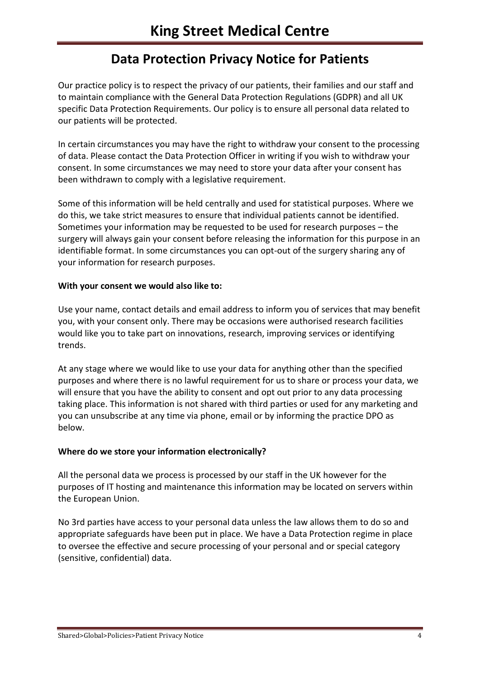Our practice policy is to respect the privacy of our patients, their families and our staff and to maintain compliance with the General Data Protection Regulations (GDPR) and all UK specific Data Protection Requirements. Our policy is to ensure all personal data related to our patients will be protected.

In certain circumstances you may have the right to withdraw your consent to the processing of data. Please contact the Data Protection Officer in writing if you wish to withdraw your consent. In some circumstances we may need to store your data after your consent has been withdrawn to comply with a legislative requirement.

Some of this information will be held centrally and used for statistical purposes. Where we do this, we take strict measures to ensure that individual patients cannot be identified. Sometimes your information may be requested to be used for research purposes – the surgery will always gain your consent before releasing the information for this purpose in an identifiable format. In some circumstances you can opt-out of the surgery sharing any of your information for research purposes.

## **With your consent we would also like to:**

Use your name, contact details and email address to inform you of services that may benefit you, with your consent only. There may be occasions were authorised research facilities would like you to take part on innovations, research, improving services or identifying trends.

At any stage where we would like to use your data for anything other than the specified purposes and where there is no lawful requirement for us to share or process your data, we will ensure that you have the ability to consent and opt out prior to any data processing taking place. This information is not shared with third parties or used for any marketing and you can unsubscribe at any time via phone, email or by informing the practice DPO as below.

## **Where do we store your information electronically?**

All the personal data we process is processed by our staff in the UK however for the purposes of IT hosting and maintenance this information may be located on servers within the European Union.

No 3rd parties have access to your personal data unless the law allows them to do so and appropriate safeguards have been put in place. We have a Data Protection regime in place to oversee the effective and secure processing of your personal and or special category (sensitive, confidential) data.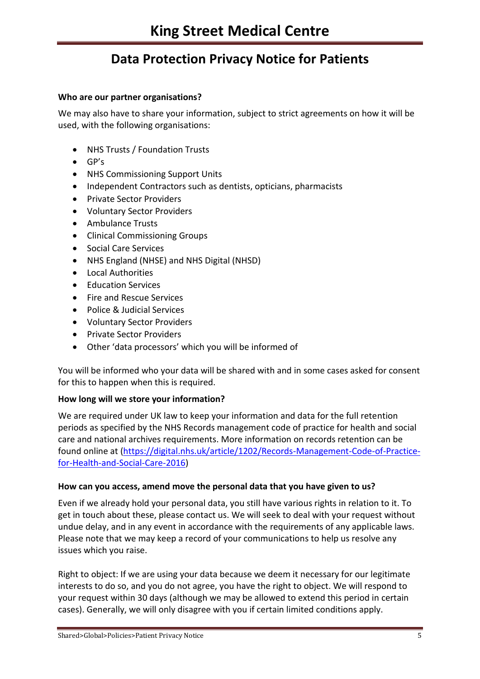#### **Who are our partner organisations?**

We may also have to share your information, subject to strict agreements on how it will be used, with the following organisations:

- NHS Trusts / Foundation Trusts
- GP's
- NHS Commissioning Support Units
- Independent Contractors such as dentists, opticians, pharmacists
- Private Sector Providers
- Voluntary Sector Providers
- Ambulance Trusts
- Clinical Commissioning Groups
- Social Care Services
- NHS England (NHSE) and NHS Digital (NHSD)
- **•** Local Authorities
- Education Services
- Fire and Rescue Services
- Police & Judicial Services
- Voluntary Sector Providers
- Private Sector Providers
- Other 'data processors' which you will be informed of

You will be informed who your data will be shared with and in some cases asked for consent for this to happen when this is required.

## **How long will we store your information?**

We are required under UK law to keep your information and data for the full retention periods as specified by the NHS Records management code of practice for health and social care and national archives requirements. More information on records retention can be found online at [\(https://digital.nhs.uk/article/1202/Records-Management-Code-of-Practice](https://digital.nhs.uk/article/1202/Records-Management-Code-of-Practice-for-Health-and-Social-Care-2016)[for-Health-and-Social-Care-2016\)](https://digital.nhs.uk/article/1202/Records-Management-Code-of-Practice-for-Health-and-Social-Care-2016)

## **How can you access, amend move the personal data that you have given to us?**

Even if we already hold your personal data, you still have various rights in relation to it. To get in touch about these, please contact us. We will seek to deal with your request without undue delay, and in any event in accordance with the requirements of any applicable laws. Please note that we may keep a record of your communications to help us resolve any issues which you raise.

Right to object: If we are using your data because we deem it necessary for our legitimate interests to do so, and you do not agree, you have the right to object. We will respond to your request within 30 days (although we may be allowed to extend this period in certain cases). Generally, we will only disagree with you if certain limited conditions apply.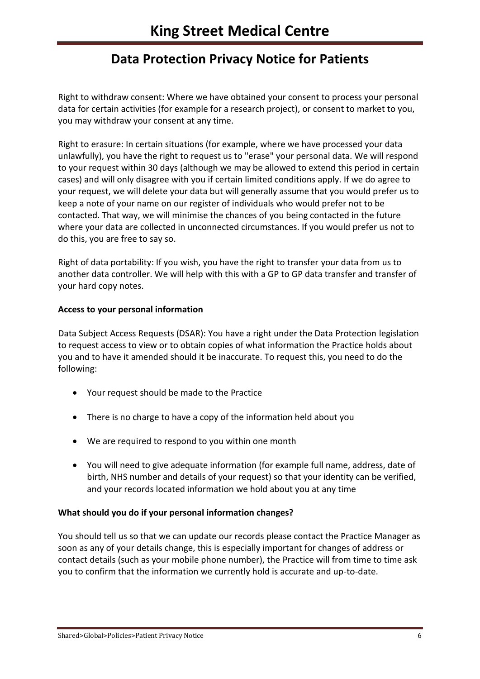Right to withdraw consent: Where we have obtained your consent to process your personal data for certain activities (for example for a research project), or consent to market to you, you may withdraw your consent at any time.

Right to erasure: In certain situations (for example, where we have processed your data unlawfully), you have the right to request us to "erase" your personal data. We will respond to your request within 30 days (although we may be allowed to extend this period in certain cases) and will only disagree with you if certain limited conditions apply. If we do agree to your request, we will delete your data but will generally assume that you would prefer us to keep a note of your name on our register of individuals who would prefer not to be contacted. That way, we will minimise the chances of you being contacted in the future where your data are collected in unconnected circumstances. If you would prefer us not to do this, you are free to say so.

Right of data portability: If you wish, you have the right to transfer your data from us to another data controller. We will help with this with a GP to GP data transfer and transfer of your hard copy notes.

#### **Access to your personal information**

Data Subject Access Requests (DSAR): You have a right under the Data Protection legislation to request access to view or to obtain copies of what information the Practice holds about you and to have it amended should it be inaccurate. To request this, you need to do the following:

- Your request should be made to the Practice
- There is no charge to have a copy of the information held about you
- We are required to respond to you within one month
- You will need to give adequate information (for example full name, address, date of birth, NHS number and details of your request) so that your identity can be verified, and your records located information we hold about you at any time

#### **What should you do if your personal information changes?**

You should tell us so that we can update our records please contact the Practice Manager as soon as any of your details change, this is especially important for changes of address or contact details (such as your mobile phone number), the Practice will from time to time ask you to confirm that the information we currently hold is accurate and up-to-date.